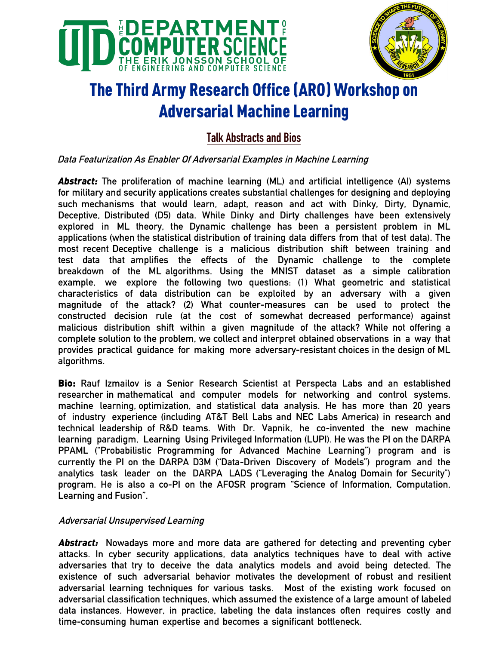



# The Third Army Research Office (ARO) Workshop on Adversarial Machine Learning

# **Talk Abstracts and Bios**

## **Data Featurization As Enabler Of Adversarial Examples in Machine Learning**

*Abstract:* **The proliferation of machine learning (ML) and artificial intelligence (AI) systems for military and security applications creates substantial challenges for designing and deploying such mechanisms that would learn, adapt, reason and act with Dinky, Dirty, Dynamic, Deceptive, Distributed (D5) data. While Dinky and Dirty challenges have been extensively explored in ML theory, the Dynamic challenge has been a persistent problem in ML applications (when the statistical distribution of training data differs from that of test data). The most recent Deceptive challenge is a malicious distribution shift between training and test data that amplifies the effects of the Dynamic challenge to the complete breakdown of the ML algorithms. Using the MNIST dataset as a simple calibration example, we explore the following two questions: (1) What geometric and statistical characteristics of data distribution can be exploited by an adversary with a given magnitude of the attack? (2) What counter-measures can be used to protect the constructed decision rule (at the cost of somewhat decreased performance) against malicious distribution shift within a given magnitude of the attack? While not offering a complete solution to the problem, we collect and interpret obtained observations in a way that provides practical guidance for making more adversary-resistant choices in the design of ML algorithms.** 

Bio: **Rauf Izmailov is a Senior Research Scientist at Perspecta Labs and an established researcher in mathematical and computer models for networking and control systems, machine learning, optimization, and statistical data analysis. He has more than 20 years of industry experience (including AT&T Bell Labs and NEC Labs America) in research and technical leadership of R&D teams. With Dr. Vapnik, he co-invented the new machine learning paradigm, Learning Using Privileged Information (LUPI). He was the PI on the DARPA PPAML ("Probabilistic Programming for Advanced Machine Learning") program and is currently the PI on the DARPA D3M ("Data-Driven Discovery of Models") program and the analytics task leader on the DARPA LADS ("Leveraging the Analog Domain for Security") program. He is also a co-PI on the AFOSR program "Science of Information, Computation, Learning and Fusion".** 

#### **Adversarial Unsupervised Learning**

*Abstract:* **Nowadays more and more data are gathered for detecting and preventing cyber attacks. In cyber security applications, data analytics techniques have to deal with active adversaries that try to deceive the data analytics models and avoid being detected. The existence of such adversarial behavior motivates the development of robust and resilient adversarial learning techniques for various tasks. Most of the existing work focused on adversarial classification techniques, which assumed the existence of a large amount of labeled data instances. However, in practice, labeling the data instances often requires costly and time-consuming human expertise and becomes a significant bottleneck.**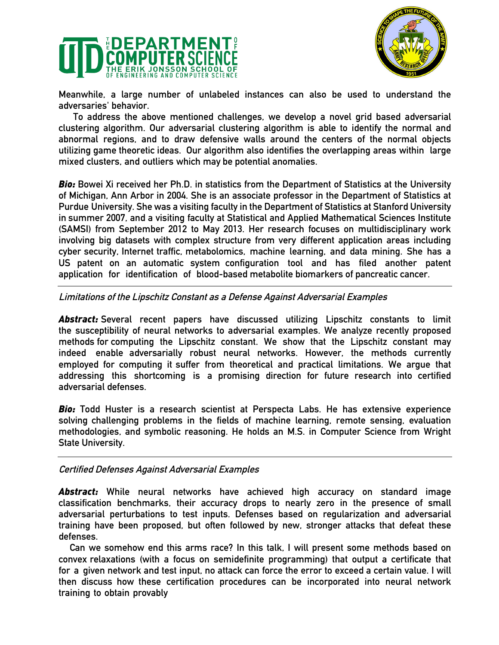



**Meanwhile, a large number of unlabeled instances can also be used to understand the adversaries' behavior.** 

**To address the above mentioned challenges, we develop a novel grid based adversarial clustering algorithm. Our adversarial clustering algorithm is able to identify the normal and abnormal regions, and to draw defensive walls around the centers of the normal objects utilizing game theoretic ideas. Our algorithm also identifies the overlapping areas within large mixed clusters, and outliers which may be potential anomalies.** 

*Bio:* **Bowei Xi received her Ph.D. in statistics from the Department of Statistics at the University of Michigan, Ann Arbor in 2004. She is an associate professor in the Department of Statistics at Purdue University. She was a visiting faculty in the Department of Statistics at Stanford University in summer 2007, and a visiting faculty at Statistical and Applied Mathematical Sciences Institute (SAMSI) from September 2012 to May 2013. Her research focuses on multidisciplinary work involving big datasets with complex structure from very different application areas including cyber security, Internet traffic, metabolomics, machine learning, and data mining. She has a US patent on an automatic system configuration tool and has filed another patent application for identification of blood-based metabolite biomarkers of pancreatic cancer.** 

#### **Limitations of the Lipschitz Constant as a Defense Against Adversarial Examples**

*Abstract:* **Several recent papers have discussed utilizing Lipschitz constants to limit the susceptibility of neural networks to adversarial examples. We analyze recently proposed methods for computing the Lipschitz constant. We show that the Lipschitz constant may indeed enable adversarially robust neural networks. However, the methods currently employed for computing it suffer from theoretical and practical limitations. We argue that addressing this shortcoming is a promising direction for future research into certified adversarial defenses.** 

*Bio:* **Todd Huster is a research scientist at Perspecta Labs. He has extensive experience solving challenging problems in the fields of machine learning, remote sensing, evaluation methodologies, and symbolic reasoning. He holds an M.S. in Computer Science from Wright State University.** 

#### **Certified Defenses Against Adversarial Examples**

*Abstract:* **While neural networks have achieved high accuracy on standard image classification benchmarks, their accuracy drops to nearly zero in the presence of small adversarial perturbations to test inputs. Defenses based on regularization and adversarial training have been proposed, but often followed by new, stronger attacks that defeat these defenses.** 

**Can we somehow end this arms race? In this talk, I will present some methods based on convex relaxations (with a focus on semidefinite programming) that output a certificate that for a given network and test input, no attack can force the error to exceed a certain value. I will then discuss how these certification procedures can be incorporated into neural network training to obtain provably**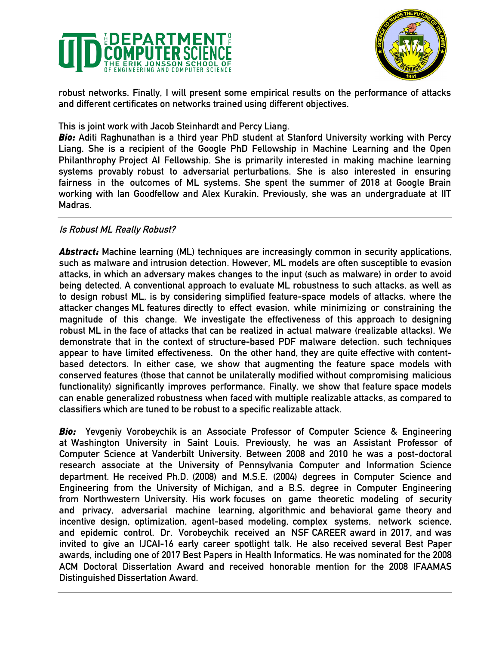



**robust networks. Finally, I will present some empirical results on the performance of attacks and different certificates on networks trained using different objectives.** 

**This is joint work with Jacob Steinhardt and Percy Liang.** 

*Bio:* **Aditi Raghunathan is a third year PhD student at Stanford University working with Percy Liang. She is a recipient of the Google PhD Fellowship in Machine Learning and the Open Philanthrophy Project AI Fellowship. She is primarily interested in making machine learning systems provably robust to adversarial perturbations. She is also interested in ensuring fairness in the outcomes of ML systems. She spent the summer of 2018 at Google Brain working with Ian Goodfellow and Alex Kurakin. Previously, she was an undergraduate at IIT Madras.** 

#### **Is Robust ML Really Robust?**

*Abstract:* **Machine learning (ML) techniques are increasingly common in security applications, such as malware and intrusion detection. However, ML models are often susceptible to evasion attacks, in which an adversary makes changes to the input (such as malware) in order to avoid being detected. A conventional approach to evaluate ML robustness to such attacks, as well as to design robust ML, is by considering simplified feature-space models of attacks, where the attacker changes ML features directly to effect evasion, while minimizing or constraining the magnitude of this change. We investigate the effectiveness of this approach to designing robust ML in the face of attacks that can be realized in actual malware (realizable attacks). We demonstrate that in the context of structure-based PDF malware detection, such techniques appear to have limited effectiveness. On the other hand, they are quite effective with contentbased detectors. In either case, we show that augmenting the feature space models with conserved features (those that cannot be unilaterally modified without compromising malicious functionality) significantly improves performance. Finally, we show that feature space models can enable generalized robustness when faced with multiple realizable attacks, as compared to classifiers which are tuned to be robust to a specific realizable attack.** 

*Bio:* **Yevgeniy Vorobeychik is an Associate Professor of Computer Science & Engineering at Washington University in Saint Louis. Previously, he was an Assistant Professor of Computer Science at Vanderbilt University. Between 2008 and 2010 he was a post-doctoral research associate at the University of Pennsylvania Computer and Information Science department. He received Ph.D. (2008) and M.S.E. (2004) degrees in Computer Science and Engineering from the University of Michigan, and a B.S. degree in Computer Engineering from Northwestern University. His work focuses on game theoretic modeling of security and privacy, adversarial machine learning, algorithmic and behavioral game theory and incentive design, optimization, agent-based modeling, complex systems, network science, and epidemic control. Dr. Vorobeychik received an NSF CAREER award in 2017, and was invited to give an IJCAI-16 early career spotlight talk. He also received several Best Paper awards, including one of 2017 Best Papers in Health Informatics. He was nominated for the 2008 ACM Doctoral Dissertation Award and received honorable mention for the 2008 IFAAMAS Distinguished Dissertation Award.**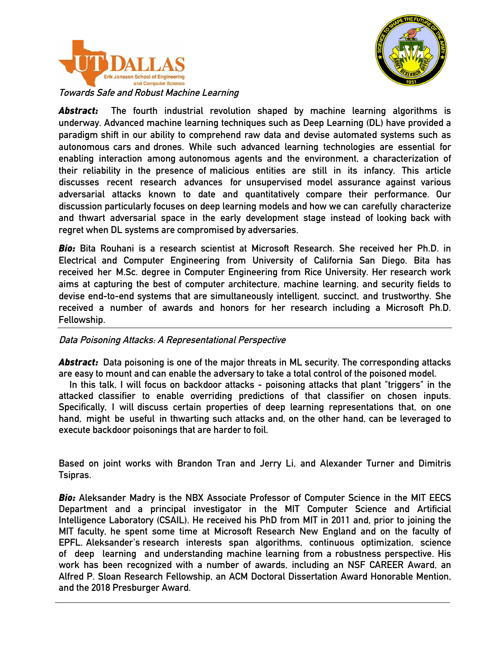



**Towards Safe and Robust Machine Learning** 

*Abstract:* **The fourth industrial revolution shaped by machine learning algorithms is underway. Advanced machine learning techniques such as Deep Learning (DL) have provided a paradigm shift in our ability to comprehend raw data and devise automated systems such as autonomous cars and drones. While such advanced learning technologies are essential for enabling interaction among autonomous agents and the environment, a characterization of their reliability in the presence of malicious entities are still in its infancy. This article discusses recent research advances for unsupervised model assurance against various adversarial attacks known to date and quantitatively compare their performance. Our discussion particularly focuses on deep learning models and how we can carefully characterize and thwart adversarial space in the early development stage instead of looking back with regret when DL systems are compromised by adversaries.** 

*Bio:* **Bita Rouhani is a research scientist at Microsoft Research. She received her Ph.D. in Electrical and Computer Engineering from University of California San Diego. Bita has received her M.Sc. degree in Computer Engineering from Rice University. Her research work aims at capturing the best of computer architecture, machine learning, and security fields to devise end-to-end systems that are simultaneously intelligent, succinct, and trustworthy. She received a number of awards and honors for her research including a Microsoft Ph.D. Fellowship.** 

**Data Poisoning Attacks: A Representational Perspective** 

*Abstract:* **Data poisoning is one of the major threats in ML security. The corresponding attacks are easy to mount and can enable the adversary to take a total control of the poisoned model.** 

 **In this talk, I will focus on backdoor attacks - poisoning attacks that plant "triggers" in the attacked classifier to enable overriding predictions of that classifier on chosen inputs. Specifically, I will discuss certain properties of deep learning representations that, on one hand, might be useful in thwarting such attacks and, on the other hand, can be leveraged to execute backdoor poisonings that are harder to foil.** 

**Based on joint works with Brandon Tran and Jerry Li, and Alexander Turner and Dimitris Tsipras.** 

*Bio:* **Aleksander Madry is the NBX Associate Professor of Computer Science in the MIT EECS Department and a principal investigator in the MIT Computer Science and Artificial Intelligence Laboratory (CSAIL). He received his PhD from MIT in 2011 and, prior to joining the MIT faculty, he spent some time at Microsoft Research New England and on the faculty of EPFL. Aleksander's research interests span algorithms, continuous optimization, science of deep learning and understanding machine learning from a robustness perspective. His work has been recognized with a number of awards, including an NSF CAREER Award, an Alfred P. Sloan Research Fellowship, an ACM Doctoral Dissertation Award Honorable Mention, and the 2018 Presburger Award.**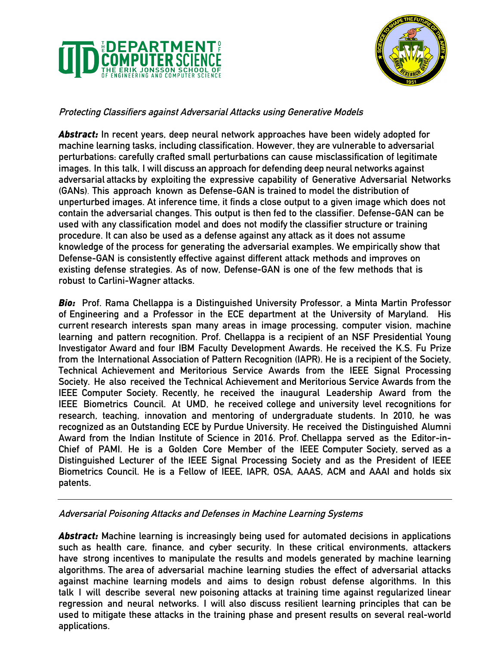



# **Protecting Classifiers against Adversarial Attacks using Generative Models**

*Abstract:* **In recent years, deep neural network approaches have been widely adopted for machine learning tasks, including classification. However, they are vulnerable to adversarial perturbations: carefully crafted small perturbations can cause misclassification of legitimate images. In this talk, I will discuss an approach for defending deep neural networks against adversarial attacks by exploiting the expressive capability of Generative Adversarial Networks (GANs). This approach known as Defense-GAN is trained to model the distribution of unperturbed images. At inference time, it finds a close output to a given image which does not contain the adversarial changes. This output is then fed to the classifier. Defense-GAN can be used with any classification model and does not modify the classifier structure or training procedure. It can also be used as a defense against any attack as it does not assume knowledge of the process for generating the adversarial examples. We empirically show that Defense-GAN is consistently effective against different attack methods and improves on existing defense strategies. As of now, Defense-GAN is one of the few methods that is robust to Carlini-Wagner attacks.** 

*Bio:* **Prof. Rama Chellappa is a Distinguished University Professor, a Minta Martin Professor of Engineering and a Professor in the ECE department at the University of Maryland. His current research interests span many areas in image processing, computer vision, machine learning and pattern recognition. Prof. Chellappa is a recipient of an NSF Presidential Young Investigator Award and four IBM Faculty Development Awards. He received the K.S. Fu Prize from the International Association of Pattern Recognition (IAPR). He is a recipient of the Society, Technical Achievement and Meritorious Service Awards from the IEEE Signal Processing Society. He also received the Technical Achievement and Meritorious Service Awards from the IEEE Computer Society. Recently, he received the inaugural Leadership Award from the IEEE Biometrics Council. At UMD, he received college and university level recognitions for research, teaching, innovation and mentoring of undergraduate students. In 2010, he was recognized as an Outstanding ECE by Purdue University. He received the Distinguished Alumni Award from the Indian Institute of Science in 2016. Prof. Chellappa served as the Editor-in-Chief of PAMI. He is a Golden Core Member of the IEEE Computer Society, served as a Distinguished Lecturer of the IEEE Signal Processing Society and as the President of IEEE Biometrics Council. He is a Fellow of IEEE, IAPR, OSA, AAAS, ACM and AAAI and holds six patents.** 

#### **Adversarial Poisoning Attacks and Defenses in Machine Learning Systems**

*Abstract:* **Machine learning is increasingly being used for automated decisions in applications such as health care, finance, and cyber security. In these critical environments, attackers have strong incentives to manipulate the results and models generated by machine learning algorithms. The area of adversarial machine learning studies the effect of adversarial attacks against machine learning models and aims to design robust defense algorithms. In this talk I will describe several new poisoning attacks at training time against regularized linear regression and neural networks. I will also discuss resilient learning principles that can be used to mitigate these attacks in the training phase and present results on several real-world applications.**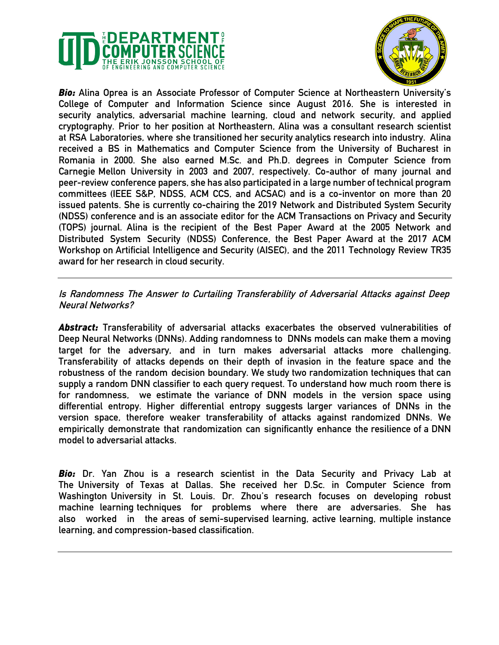



*Bio:* **Alina Oprea is an Associate Professor of Computer Science at Northeastern University's College of Computer and Information Science since August 2016. She is interested in security analytics, adversarial machine learning, cloud and network security, and applied cryptography. Prior to her position at Northeastern, Alina was a consultant research scientist at RSA Laboratories, where she transitioned her security analytics research into industry. Alina received a BS in Mathematics and Computer Science from the University of Bucharest in Romania in 2000. She also earned M.Sc. and Ph.D. degrees in Computer Science from Carnegie Mellon University in 2003 and 2007, respectively. Co-author of many journal and peer-review conference papers, she has also participated in a large number of technical program committees (IEEE S&P, NDSS, ACM CCS, and ACSAC) and is a co-inventor on more than 20 issued patents. She is currently co-chairing the 2019 Network and Distributed System Security (NDSS) conference and is an associate editor for the ACM Transactions on Privacy and Security (TOPS) journal. Alina is the recipient of the Best Paper Award at the 2005 Network and Distributed System Security (NDSS) Conference, the Best Paper Award at the 2017 ACM Workshop on Artificial Intelligence and Security (AISEC), and the 2011 Technology Review TR35 award for her research in cloud security.** 

**Is Randomness The Answer to Curtailing Transferability of Adversarial Attacks against Deep Neural Networks?** 

*Abstract:* **Transferability of adversarial attacks exacerbates the observed vulnerabilities of Deep Neural Networks (DNNs). Adding randomness to DNNs models can make them a moving target for the adversary, and in turn makes adversarial attacks more challenging. Transferability of attacks depends on their depth of invasion in the feature space and the robustness of the random decision boundary. We study two randomization techniques that can supply a random DNN classifier to each query request. To understand how much room there is for randomness, we estimate the variance of DNN models in the version space using differential entropy. Higher differential entropy suggests larger variances of DNNs in the version space, therefore weaker transferability of attacks against randomized DNNs. We empirically demonstrate that randomization can significantly enhance the resilience of a DNN model to adversarial attacks.** 

*Bio:* **Dr. Yan Zhou is a research scientist in the Data Security and Privacy Lab at The University of Texas at Dallas. She received her D.Sc. in Computer Science from Washington University in St. Louis. Dr. Zhou's research focuses on developing robust machine learning techniques for problems where there are adversaries. She has also worked in the areas of semi-supervised learning, active learning, multiple instance learning, and compression-based classification.**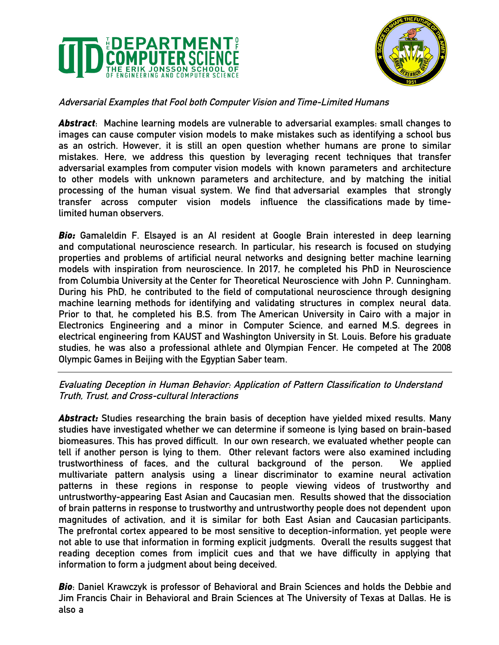



## **Adversarial Examples that Fool both Computer Vision and Time-Limited Humans**

*Abstract***: Machine learning models are vulnerable to adversarial examples: small changes to images can cause computer vision models to make mistakes such as identifying a school bus as an ostrich. However, it is still an open question whether humans are prone to similar mistakes. Here, we address this question by leveraging recent techniques that transfer adversarial examples from computer vision models with known parameters and architecture to other models with unknown parameters and architecture, and by matching the initial processing of the human visual system. We find that adversarial examples that strongly transfer across computer vision models influence the classifications made by timelimited human observers.** 

*Bio:* **Gamaleldin F. Elsayed is an AI resident at Google Brain interested in deep learning and computational neuroscience research. In particular, his research is focused on studying properties and problems of artificial neural networks and designing better machine learning models with inspiration from neuroscience. In 2017, he completed his PhD in Neuroscience from Columbia University at the Center for Theoretical Neuroscience with John P. Cunningham. During his PhD, he contributed to the field of computational neuroscience through designing machine learning methods for identifying and validating structures in complex neural data. Prior to that, he completed his B.S. from The American University in Cairo with a major in Electronics Engineering and a minor in Computer Science, and earned M.S. degrees in electrical engineering from KAUST and Washington University in St. Louis. Before his graduate studies, he was also a professional athlete and Olympian Fencer. He competed at The 2008 Olympic Games in Beijing with the Egyptian Saber team.** 

#### **Evaluating Deception in Human Behavior: Application of Pattern Classification to Understand Truth, Trust, and Cross-cultural Interactions**

*Abstract:* **Studies researching the brain basis of deception have yielded mixed results. Many studies have investigated whether we can determine if someone is lying based on brain-based biomeasures. This has proved difficult. In our own research, we evaluated whether people can tell if another person is lying to them. Other relevant factors were also examined including trustworthiness of faces, and the cultural background of the person. We applied multivariate pattern analysis using a linear discriminator to examine neural activation patterns in these regions in response to people viewing videos of trustworthy and untrustworthy-appearing East Asian and Caucasian men. Results showed that the dissociation of brain patterns in response to trustworthy and untrustworthy people does not dependent upon magnitudes of activation, and it is similar for both East Asian and Caucasian participants. The prefrontal cortex appeared to be most sensitive to deception-information, yet people were not able to use that information in forming explicit judgments. Overall the results suggest that reading deception comes from implicit cues and that we have difficulty in applying that information to form a judgment about being deceived.** 

*Bio***: Daniel Krawczyk is professor of Behavioral and Brain Sciences and holds the Debbie and Jim Francis Chair in Behavioral and Brain Sciences at The University of Texas at Dallas. He is also a**